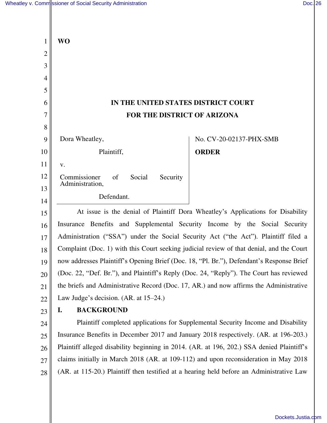$\mathbb{I}$ 

| $\mathbf{1}$   | <b>WO</b>                                                                                 |  |
|----------------|-------------------------------------------------------------------------------------------|--|
| $\overline{2}$ |                                                                                           |  |
| 3              |                                                                                           |  |
| $\overline{4}$ |                                                                                           |  |
| 5              |                                                                                           |  |
| 6              | IN THE UNITED STATES DISTRICT COURT                                                       |  |
| 7              | FOR THE DISTRICT OF ARIZONA                                                               |  |
| 8              |                                                                                           |  |
| 9              | Dora Wheatley,<br>No. CV-20-02137-PHX-SMB                                                 |  |
| 10             | Plaintiff,<br><b>ORDER</b>                                                                |  |
| 11             | V.                                                                                        |  |
| 12             | Commissioner<br>of<br>Social<br>Security<br>Administration,                               |  |
| 13<br>14       | Defendant.                                                                                |  |
| 15             | At issue is the denial of Plaintiff Dora Wheatley's Applications for Disability           |  |
|                | Insurance Benefits and Supplemental Security Income by the Social Security                |  |
| 16<br>17       | Administration ("SSA") under the Social Security Act ("the Act"). Plaintiff filed a       |  |
| 18             | Complaint (Doc. 1) with this Court seeking judicial review of that denial, and the Court  |  |
| 19             | now addresses Plaintiff's Opening Brief (Doc. 18, "Pl. Br."), Defendant's Response Brief  |  |
| 20             | (Doc. 22, "Def. Br."), and Plaintiff's Reply (Doc. 24, "Reply"). The Court has reviewed   |  |
| 21             | the briefs and Administrative Record (Doc. 17, AR.) and now affirms the Administrative    |  |
| 22             | Law Judge's decision. (AR. at 15–24.)                                                     |  |
| 23             | <b>BACKGROUND</b><br>I.                                                                   |  |
| 24             | Plaintiff completed applications for Supplemental Security Income and Disability          |  |
| 25             | Insurance Benefits in December 2017 and January 2018 respectively. (AR. at 196-203.)      |  |
| 26             | Plaintiff alleged disability beginning in 2014. (AR. at 196, 202.) SSA denied Plaintiff's |  |
| 27             | claims initially in March 2018 (AR. at 109-112) and upon reconsideration in May 2018      |  |
| 28             | (AR. at 115-20.) Plaintiff then testified at a hearing held before an Administrative Law  |  |
|                |                                                                                           |  |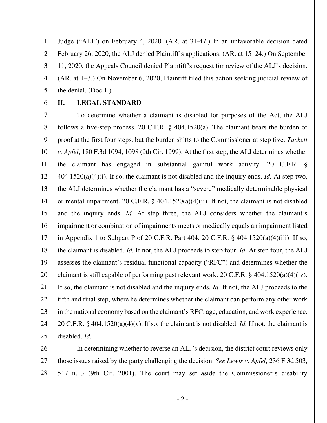1 2 3 4 5 Judge ("ALJ") on February 4, 2020. (AR. at 31-47.) In an unfavorable decision dated February 26, 2020, the ALJ denied Plaintiff's applications. (AR. at 15–24.) On September 11, 2020, the Appeals Council denied Plaintiff's request for review of the ALJ's decision. (AR. at 1–3.) On November 6, 2020, Plaintiff filed this action seeking judicial review of the denial. (Doc 1.)

6

## **II. LEGAL STANDARD**

7 8 9 10 11 12 13 14 15 16 17 18 19 20 21 22 23 24 25 To determine whether a claimant is disabled for purposes of the Act, the ALJ follows a five-step process. 20 C.F.R. § 404.1520(a). The claimant bears the burden of proof at the first four steps, but the burden shifts to the Commissioner at step five. *Tackett v. Apfel*, 180 F.3d 1094, 1098 (9th Cir. 1999). At the first step, the ALJ determines whether the claimant has engaged in substantial gainful work activity. 20 C.F.R. § 404.1520(a)(4)(i). If so, the claimant is not disabled and the inquiry ends. *Id.* At step two, the ALJ determines whether the claimant has a "severe" medically determinable physical or mental impairment. 20 C.F.R. § 404.1520(a)(4)(ii). If not, the claimant is not disabled and the inquiry ends. *Id.* At step three, the ALJ considers whether the claimant's impairment or combination of impairments meets or medically equals an impairment listed in Appendix 1 to Subpart P of 20 C.F.R. Part 404. 20 C.F.R. § 404.1520(a)(4)(iii). If so, the claimant is disabled. *Id.* If not, the ALJ proceeds to step four. *Id.* At step four, the ALJ assesses the claimant's residual functional capacity ("RFC") and determines whether the claimant is still capable of performing past relevant work. 20 C.F.R. § 404.1520(a)(4)(iv). If so, the claimant is not disabled and the inquiry ends. *Id.* If not, the ALJ proceeds to the fifth and final step, where he determines whether the claimant can perform any other work in the national economy based on the claimant's RFC, age, education, and work experience. 20 C.F.R. § 404.1520(a)(4)(v). If so, the claimant is not disabled. *Id.* If not, the claimant is disabled. *Id.*

26

27 28 In determining whether to reverse an ALJ's decision, the district court reviews only those issues raised by the party challenging the decision. *See Lewis v. Apfel*, 236 F.3d 503, 517 n.13 (9th Cir. 2001). The court may set aside the Commissioner's disability

- 2 -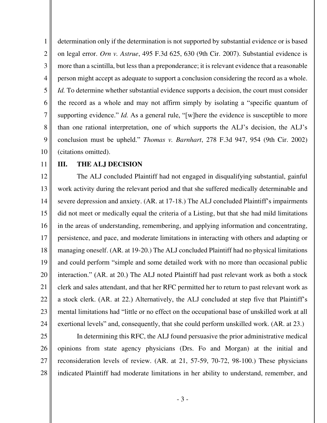1 2 3 4 5 6 7 8 9 10 determination only if the determination is not supported by substantial evidence or is based on legal error. *Orn v. Astrue*, 495 F.3d 625, 630 (9th Cir. 2007). Substantial evidence is more than a scintilla, but less than a preponderance; it is relevant evidence that a reasonable person might accept as adequate to support a conclusion considering the record as a whole. *Id.* To determine whether substantial evidence supports a decision, the court must consider the record as a whole and may not affirm simply by isolating a "specific quantum of supporting evidence." *Id.* As a general rule, "[w]here the evidence is susceptible to more than one rational interpretation, one of which supports the ALJ's decision, the ALJ's conclusion must be upheld." *Thomas v. Barnhart*, 278 F.3d 947, 954 (9th Cir. 2002) (citations omitted).

11

## **III. THE ALJ DECISION**

12 13 14 15 16 17 18 19 20 21 22 23 24 The ALJ concluded Plaintiff had not engaged in disqualifying substantial, gainful work activity during the relevant period and that she suffered medically determinable and severe depression and anxiety. (AR. at 17-18.) The ALJ concluded Plaintiff's impairments did not meet or medically equal the criteria of a Listing, but that she had mild limitations in the areas of understanding, remembering, and applying information and concentrating, persistence, and pace, and moderate limitations in interacting with others and adapting or managing oneself. (AR. at 19-20.) The ALJ concluded Plaintiff had no physical limitations and could perform "simple and some detailed work with no more than occasional public interaction." (AR. at 20.) The ALJ noted Plaintiff had past relevant work as both a stock clerk and sales attendant, and that her RFC permitted her to return to past relevant work as a stock clerk. (AR. at 22.) Alternatively, the ALJ concluded at step five that Plaintiff's mental limitations had "little or no effect on the occupational base of unskilled work at all exertional levels" and, consequently, that she could perform unskilled work. (AR. at 23.)

- 25
- 26 27

28

In determining this RFC, the ALJ found persuasive the prior administrative medical opinions from state agency physicians (Drs. Fo and Morgan) at the initial and reconsideration levels of review. (AR. at 21, 57-59, 70-72, 98-100.) These physicians indicated Plaintiff had moderate limitations in her ability to understand, remember, and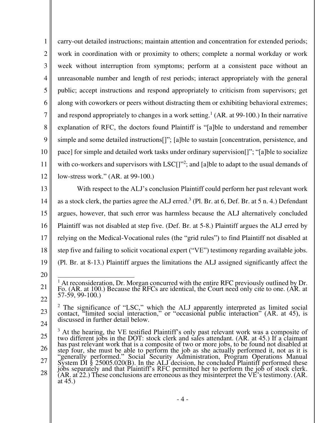1 2 3 4 5 6 7 8 9 10 11 12 carry-out detailed instructions; maintain attention and concentration for extended periods; work in coordination with or proximity to others; complete a normal workday or work week without interruption from symptoms; perform at a consistent pace without an unreasonable number and length of rest periods; interact appropriately with the general public; accept instructions and respond appropriately to criticism from supervisors; get along with coworkers or peers without distracting them or exhibiting behavioral extremes; and respond appropriately to changes in a work setting.<sup>1</sup> (AR. at 99-100.) In their narrative explanation of RFC, the doctors found Plaintiff is "[a]ble to understand and remember simple and some detailed instructions[]"; [a]ble to sustain [concentration, persistence, and pace] for simple and detailed work tasks under ordinary supervision[]"; "[a]ble to socialize with co-workers and supervisors with LSC[]"<sup>2</sup>; and [a]ble to adapt to the usual demands of low-stress work." (AR. at 99-100.)

13 14 15 16 17 18 19 With respect to the ALJ's conclusion Plaintiff could perform her past relevant work as a stock clerk, the parties agree the ALJ erred.<sup>3</sup> (Pl. Br. at  $6$ , Def. Br. at  $5$  n. 4.) Defendant argues, however, that such error was harmless because the ALJ alternatively concluded Plaintiff was not disabled at step five. (Def. Br. at 5-8.) Plaintiff argues the ALJ erred by relying on the Medical-Vocational rules (the "grid rules") to find Plaintiff not disabled at step five and failing to solicit vocational expert ("VE") testimony regarding available jobs. (Pl. Br. at 8-13.) Plaintiff argues the limitations the ALJ assigned significantly affect the

20

<sup>21</sup>  22 <sup>1</sup> At reconsideration, Dr. Morgan concurred with the entire RFC previously outlined by Dr. Fo. (AR. at 100.) Because the RFCs are identical, the Court need only cite to one. (AR. at 57-59, 99-100.)

<sup>23</sup>  24 <sup>2</sup> The significance of "LSC," which the ALJ apparently interpreted as limited social contact, "limited social interaction," or "occasional public interaction" (AR. at 45), is discussed in further detail below.

<sup>25</sup>  26 27 28 <sup>3</sup> At the hearing, the VE testified Plaintiff's only past relevant work was a composite of two different jobs in the DOT: stock clerk and sales attendant. (AR. at 45.) If a claimant has past relevant work that is a composite of two or more jobs, to be found not disabled at step four, she must be able to perform the job as she actually performed it, not as it is "generally performed." Social Security Administration, Program Operations Manual System DI § 25005.020(B). In the ALJ decision, he concluded Plaintiff performed these jobs separately and that Plaintiff's RFC permitted her to perform the job of stock clerk.  $(AR, at 22.)$  These conclusions are erroneous as they misinterpret the VE's testimony.  $(AR, at 22.)$ at 45.)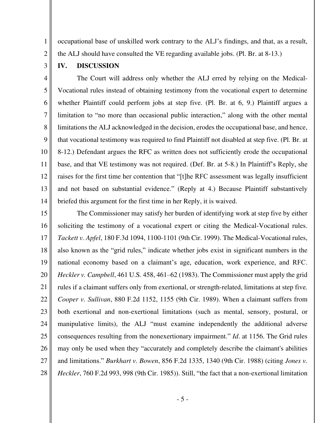occupational base of unskilled work contrary to the ALJ's findings, and that, as a result, the ALJ should have consulted the VE regarding available jobs. (Pl. Br. at 8-13.)

2 3

1

## **IV. DISCUSSION**

4 5 6 7 8 9 10 11 12 13 14 The Court will address only whether the ALJ erred by relying on the Medical-Vocational rules instead of obtaining testimony from the vocational expert to determine whether Plaintiff could perform jobs at step five. (Pl. Br. at 6, 9.) Plaintiff argues a limitation to "no more than occasional public interaction," along with the other mental limitations the ALJ acknowledged in the decision, erodes the occupational base, and hence, that vocational testimony was required to find Plaintiff not disabled at step five. (Pl. Br. at 8-12.) Defendant argues the RFC as written does not sufficiently erode the occupational base, and that VE testimony was not required. (Def. Br. at 5-8.) In Plaintiff's Reply, she raises for the first time her contention that "[t]he RFC assessment was legally insufficient and not based on substantial evidence." (Reply at 4.) Because Plaintiff substantively briefed this argument for the first time in her Reply, it is waived.

15 16 17 18 19 20 21 22 23 24 25 26 27 28 The Commissioner may satisfy her burden of identifying work at step five by either soliciting the testimony of a vocational expert or citing the Medical-Vocational rules. *Tackett v. Apfel*, 180 F.3d 1094, 1100-1101 (9th Cir. 1999). The Medical-Vocational rules, also known as the "grid rules," indicate whether jobs exist in significant numbers in the national economy based on a claimant's age, education, work experience, and RFC. *Heckler v. Campbell*, 461 U.S. 458, 461–62 (1983). The Commissioner must apply the grid rules if a claimant suffers only from exertional, or strength-related, limitations at step five*. Cooper v. Sullivan*, 880 F.2d 1152, 1155 (9th Cir. 1989). When a claimant suffers from both exertional and non-exertional limitations (such as mental, sensory, postural, or manipulative limits), the ALJ "must examine independently the additional adverse consequences resulting from the nonexertionary impairment." *Id*. at 1156. The Grid rules may only be used when they "accurately and completely describe the claimant's abilities and limitations." *Burkhart v. Bowen*, 856 F.2d 1335, 1340 (9th Cir. 1988) (citing *Jones v. Heckler*, 760 F.2d 993, 998 (9th Cir. 1985)). Still, "the fact that a non-exertional limitation

- 5 -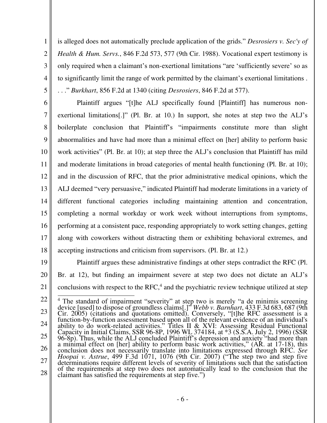is alleged does not automatically preclude application of the grids." *Desrosiers v. Sec'y of Health & Hum. Servs.*, 846 F.2d 573, 577 (9th Cir. 1988). Vocational expert testimony is only required when a claimant's non-exertional limitations "are 'sufficiently severe' so as to significantly limit the range of work permitted by the claimant's exertional limitations . . . ." *Burkhart*, 856 F.2d at 1340 (citing *Desrosiers*, 846 F.2d at 577).

1

2

3

4

5

6 7 8 9 10 11 12 13 14 15 16 17 18 Plaintiff argues "[t]he ALJ specifically found [Plaintiff] has numerous nonexertional limitations[.]" (Pl. Br. at 10.) In support, she notes at step two the ALJ's boilerplate conclusion that Plaintiff's "impairments constitute more than slight abnormalities and have had more than a minimal effect on [her] ability to perform basic work activities" (Pl. Br. at 10); at step three the ALJ's conclusion that Plaintiff has mild and moderate limitations in broad categories of mental health functioning (Pl. Br. at 10); and in the discussion of RFC, that the prior administrative medical opinions, which the ALJ deemed "very persuasive," indicated Plaintiff had moderate limitations in a variety of different functional categories including maintaining attention and concentration, completing a normal workday or work week without interruptions from symptoms, performing at a consistent pace, responding appropriately to work setting changes, getting along with coworkers without distracting them or exhibiting behavioral extremes, and accepting instructions and criticism from supervisors. (Pl. Br. at 12.)

19 20 21 Plaintiff argues these administrative findings at other steps contradict the RFC (Pl. Br. at 12), but finding an impairment severe at step two does not dictate an ALJ's conclusions with respect to the RFC, 4 and the psychiatric review technique utilized at step

22 23 24 25 26 27 28 <sup>4</sup> The standard of impairment "severity" at step two is merely "a de minimis screening device [used] to dispose of groundless claims[.]" *Webb v. Barnhart*, 433 F.3d 683, 687 (9th Cir. 2005) (citations and quotations omitted). Conversely, "[t]he RFC assessment is a function-by-function assessment based upon all of the relevant evidence of an individual's ability to do work-related activities." Titles II & XVI: Assessing Residual Functional Capacity in Initial Claims, SSR 96-8P, 1996 WL 374184, at \*3 (S.S.A. July 2, 1996) (SSR 96-8p). Thus, while the ALJ concluded Plaintiff's depression and anxiety "had more than a minimal effect on [her] ability to perform basic work activities," (AR. at 17-18), this conclusion does not necessarily translate into limitations expressed through RFC. *See Hoopai v. Astrue*, 499 F.3d 1071, 1076 (9th Cir. 2007) ("The step two and step five determinations require different levels of severity of limitations such that the satisfaction of the requirements at step two does not automatically lead to the conclusion that the claimant has satisfied the requirements at step five.")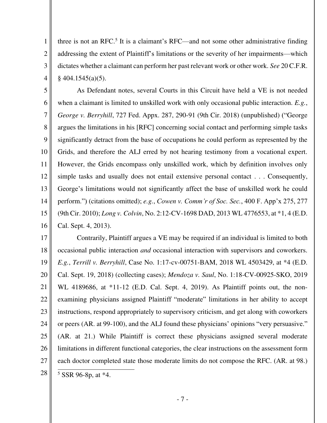three is not an RFC.<sup>5</sup> It is a claimant's RFC—and not some other administrative finding addressing the extent of Plaintiff's limitations or the severity of her impairments—which dictates whether a claimant can perform her past relevant work or other work. *See* 20 C.F.R.  $§$  404.1545(a)(5).

1

2

3

4

5 6 7 8 9 10 11 12 13 14 15 16 As Defendant notes, several Courts in this Circuit have held a VE is not needed when a claimant is limited to unskilled work with only occasional public interaction. *E.g.*, *George v. Berryhill*, 727 Fed. Appx. 287, 290-91 (9th Cir. 2018) (unpublished) ("George argues the limitations in his [RFC] concerning social contact and performing simple tasks significantly detract from the base of occupations he could perform as represented by the Grids, and therefore the ALJ erred by not hearing testimony from a vocational expert. However, the Grids encompass only unskilled work, which by definition involves only simple tasks and usually does not entail extensive personal contact . . . Consequently, George's limitations would not significantly affect the base of unskilled work he could perform.") (citations omitted); *e.g.*, *Cowen v. Comm'r of Soc. Sec.*, 400 F. App'x 275, 277 (9th Cir. 2010); *Long v. Colvin*, No. 2:12-CV-1698 DAD, 2013 WL 4776553, at \*1, 4 (E.D. Cal. Sept. 4, 2013).

17 18 19 20 21 22 23 24 25 26 27 28 Contrarily, Plaintiff argues a VE may be required if an individual is limited to both occasional public interaction *and* occasional interaction with supervisors and coworkers. *E.g.*, *Terrill v. Berryhill*, Case No. 1:17-cv-00751-BAM, 2018 WL 4503429, at \*4 (E.D. Cal. Sept. 19, 2018) (collecting cases); *Mendoza v. Saul*, No. 1:18-CV-00925-SKO, 2019 WL 4189686, at \*11-12 (E.D. Cal. Sept. 4, 2019). As Plaintiff points out, the nonexamining physicians assigned Plaintiff "moderate" limitations in her ability to accept instructions, respond appropriately to supervisory criticism, and get along with coworkers or peers (AR. at 99-100), and the ALJ found these physicians' opinions "very persuasive." (AR. at 21.) While Plaintiff is correct these physicians assigned several moderate limitations in different functional categories, the clear instructions on the assessment form each doctor completed state those moderate limits do not compose the RFC. (AR. at 98.)  $5$  SSR 96-8p, at  $*4$ .

- 7 -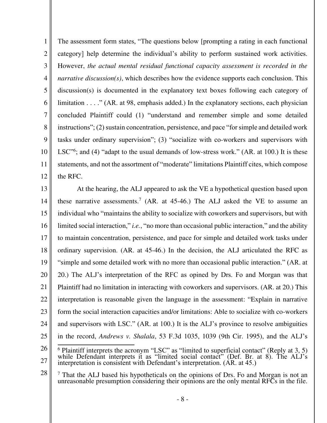1 2 3 4 5 6 7 8 9 10 11 12 The assessment form states, "The questions below [prompting a rating in each functional category] help determine the individual's ability to perform sustained work activities. However, *the actual mental residual functional capacity assessment is recorded in the narrative discussion(s)*, which describes how the evidence supports each conclusion. This discussion(s) is documented in the explanatory text boxes following each category of limitation . . . ." (AR. at 98, emphasis added.) In the explanatory sections, each physician concluded Plaintiff could (1) "understand and remember simple and some detailed instructions"; (2) sustain concentration, persistence, and pace "for simple and detailed work tasks under ordinary supervision"; (3) "socialize with co-workers and supervisors with LSC<sup>"6</sup>; and (4) "adapt to the usual demands of low-stress work." (AR. at 100.) It is these statements, and not the assortment of "moderate" limitations Plaintiff cites, which compose the RFC.

13 14 15 16 17 18 19 20 21 22 23 24 25 26 At the hearing, the ALJ appeared to ask the VE a hypothetical question based upon these narrative assessments.<sup>7</sup> (AR. at  $45-46$ .) The ALJ asked the VE to assume an individual who "maintains the ability to socialize with coworkers and supervisors, but with limited social interaction," *i.e.*, "no more than occasional public interaction," and the ability to maintain concentration, persistence, and pace for simple and detailed work tasks under ordinary supervision. (AR. at 45-46.) In the decision, the ALJ articulated the RFC as "simple and some detailed work with no more than occasional public interaction." (AR. at 20.) The ALJ's interpretation of the RFC as opined by Drs. Fo and Morgan was that Plaintiff had no limitation in interacting with coworkers and supervisors. (AR. at 20.) This interpretation is reasonable given the language in the assessment: "Explain in narrative form the social interaction capacities and/or limitations: Able to socialize with co-workers and supervisors with LSC." (AR. at 100.) It is the ALJ's province to resolve ambiguities in the record, *Andrews v. Shalala*, 53 F.3d 1035, 1039 (9th Cir. 1995), and the ALJ's

<sup>27</sup>   $6$  Plaintiff interprets the acronym "LSC" as "limited to superficial contact" (Reply at 3, 5) while Defendant interprets it as "limited social contact" (Def. Br. at 8). The ALJ's interpretation is consistent with Defendant's interpretation. (AR. at 45.)

<sup>28</sup>  <sup>7</sup> That the ALJ based his hypotheticals on the opinions of Drs. Fo and Morgan is not an unreasonable presumption considering their opinions are the only mental RFCs in the file.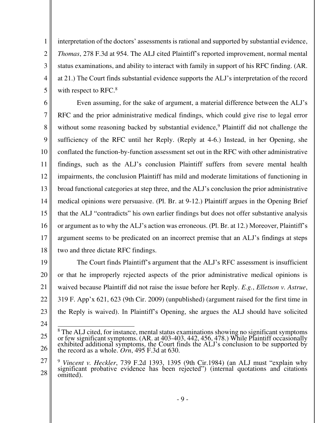interpretation of the doctors' assessments is rational and supported by substantial evidence, *Thomas*, 278 F.3d at 954. The ALJ cited Plaintiff's reported improvement, normal mental status examinations, and ability to interact with family in support of his RFC finding. (AR. at 21.) The Court finds substantial evidence supports the ALJ's interpretation of the record with respect to RFC.<sup>8</sup>

6 7 8 9 10 11 12 13 14 15 16 17 18 Even assuming, for the sake of argument, a material difference between the ALJ's RFC and the prior administrative medical findings, which could give rise to legal error without some reasoning backed by substantial evidence,<sup>9</sup> Plaintiff did not challenge the sufficiency of the RFC until her Reply. (Reply at 4-6.) Instead, in her Opening, she conflated the function-by-function assessment set out in the RFC with other administrative findings, such as the ALJ's conclusion Plaintiff suffers from severe mental health impairments, the conclusion Plaintiff has mild and moderate limitations of functioning in broad functional categories at step three, and the ALJ's conclusion the prior administrative medical opinions were persuasive. (Pl. Br. at 9-12.) Plaintiff argues in the Opening Brief that the ALJ "contradicts" his own earlier findings but does not offer substantive analysis or argument as to why the ALJ's action was erroneous. (Pl. Br. at 12.) Moreover, Plaintiff's argument seems to be predicated on an incorrect premise that an ALJ's findings at steps two and three dictate RFC findings.

19 20 21 22 23 The Court finds Plaintiff's argument that the ALJ's RFC assessment is insufficient or that he improperly rejected aspects of the prior administrative medical opinions is waived because Plaintiff did not raise the issue before her Reply. *E.g.*, *Elletson v. Astrue*, 319 F. App'x 621, 623 (9th Cir. 2009) (unpublished) (argument raised for the first time in the Reply is waived). In Plaintiff's Opening, she argues the ALJ should have solicited

24

1

2

3

4

5

<sup>25</sup>  26 <sup>8</sup> The ALJ cited, for instance, mental status examinations showing no significant symptoms or few significant symptoms. (AR. at 403-403, 442, 456, 478.) While Plaintiff occasionally exhibited additional symptoms, the Court finds the ALJ's conclusion to be supported by the record as a whole. *Orn*, 495 F.3d at 630.

<sup>27</sup>  28 <sup>9</sup> *Vincent v. Heckler*, 739 F.2d 1393, 1395 (9th Cir.1984) (an ALJ must "explain why significant probative evidence has been rejected") (internal quotations and citations omitted).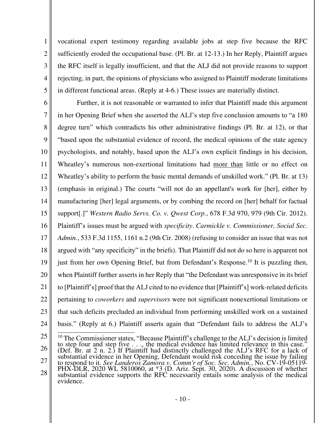vocational expert testimony regarding available jobs at step five because the RFC sufficiently eroded the occupational base. (Pl. Br. at 12-13.) In her Reply, Plaintiff argues the RFC itself is legally insufficient, and that the ALJ did not provide reasons to support rejecting, in part, the opinions of physicians who assigned to Plaintiff moderate limitations in different functional areas. (Reply at 4-6.) These issues are materially distinct.

1

2

3

4

5

6 7 8 9 10 11 12 13 14 15 16 17 18 19 20 21 22 23 24 Further, it is not reasonable or warranted to infer that Plaintiff made this argument in her Opening Brief when she asserted the ALJ's step five conclusion amounts to "a 180 degree turn" which contradicts his other administrative findings (Pl. Br. at 12), or that "based upon the substantial evidence of record, the medical opinions of the state agency psychologists, and notably, based upon the ALJ's own explicit findings in his decision, Wheatley's numerous non-exertional limitations had more than little or no effect on Wheatley's ability to perform the basic mental demands of unskilled work." (Pl. Br. at 13) (emphasis in original.) The courts "will not do an appellant's work for [her], either by manufacturing [her] legal arguments, or by combing the record on [her] behalf for factual support[.]" *Western Radio Servs. Co. v. Qwest Corp.*, 678 F.3d 970, 979 (9th Cir. 2012). Plaintiff's issues must be argued with *specificity*. *Carmickle v. Commissioner, Social Sec. Admin.*, 533 F.3d 1155, 1161 n.2 (9th Cir. 2008) (refusing to consider an issue that was not argued with "any specificity" in the briefs). That Plaintiff did not do so here is apparent not just from her own Opening Brief, but from Defendant's Response.<sup>10</sup> It is puzzling then, when Plaintiff further asserts in her Reply that "the Defendant was unresponsive in its brief to [Plaintiff's] proof that the ALJ cited to no evidence that [Plaintiff's] work-related deficits pertaining to *coworkers* and *supervisors* were not significant nonexertional limitations or that such deficits precluded an individual from performing unskilled work on a sustained basis." (Reply at 6.) Plaintiff asserts again that "Defendant fails to address the ALJ's

<sup>25</sup>  26 27 28 <sup>10</sup> The Commissioner states, "Because Plaintiff's challenge to the ALJ's decision is limited to step four and step five . . ., the medical evidence has limited relevance in this case." (Def. Br. at 2 n. 2.) If Plaintiff had distinctly challenged the ALJ's RFC for a lack of substantial evidence in her Opening, Defendant would risk conceding the issue by failing to respond to it. *See Landeros Zamora v. Comm'r of Soc. Sec. Admin.*, No. CV-19-05119- PHX-DLR, 2020 WL 5810060, at \*3 (D. Ariz. Sept. 30, 2020). A discussion of whether substantial evidence supports the RFC necessarily entails some analysis of the medical evidence.